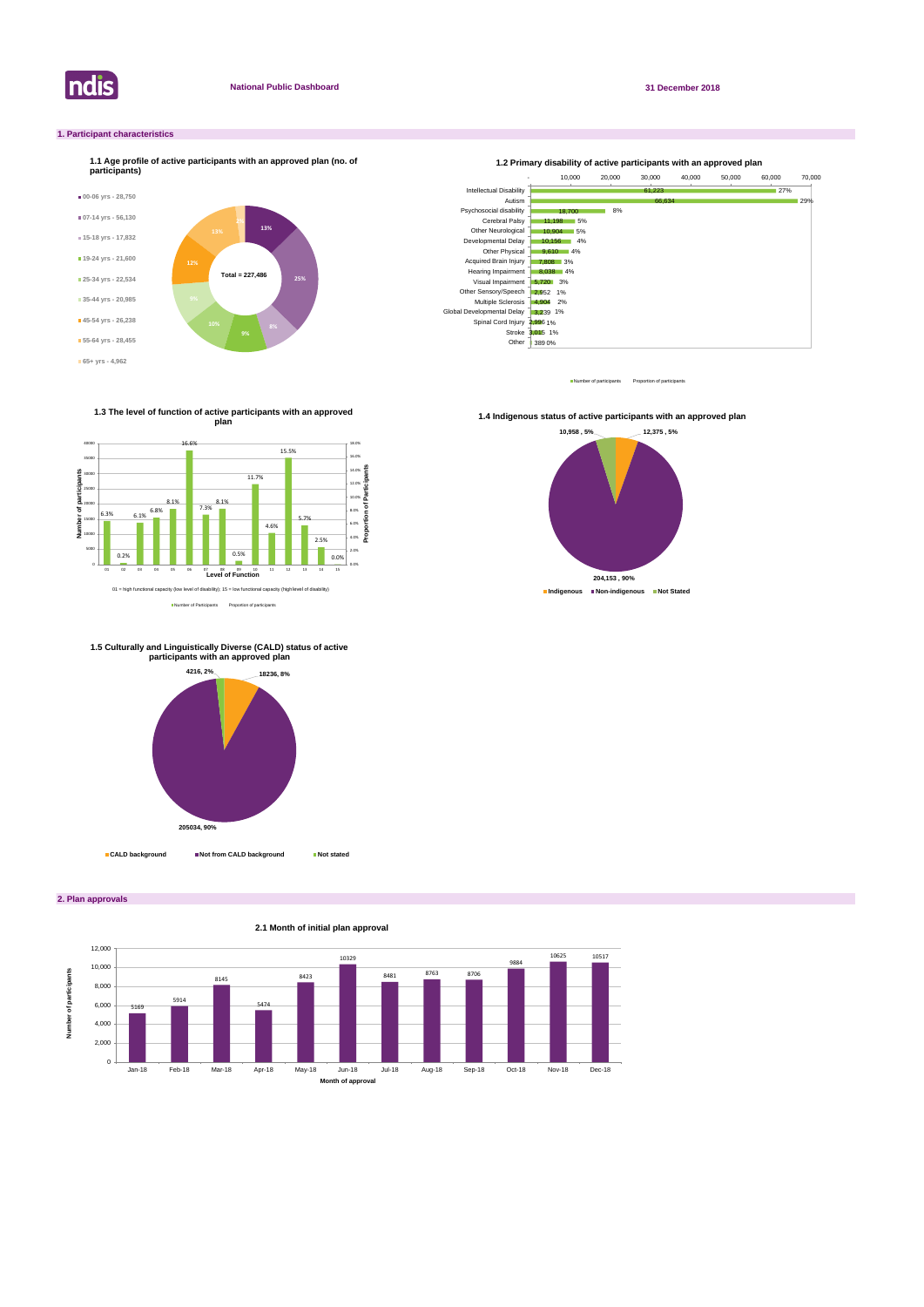

**2. Plan approvals**

# **1. Participant characteristics**



Number of participants Proportion of participant



Number of Participants Proportion of participants

**1.3 The level of function of active participants with an approved plan**



**1.4 Indigenous status of active participants with an approved plan** 





# **1.5 Culturally and Linguistically Diverse (CALD) status of active participants with an approved plan**

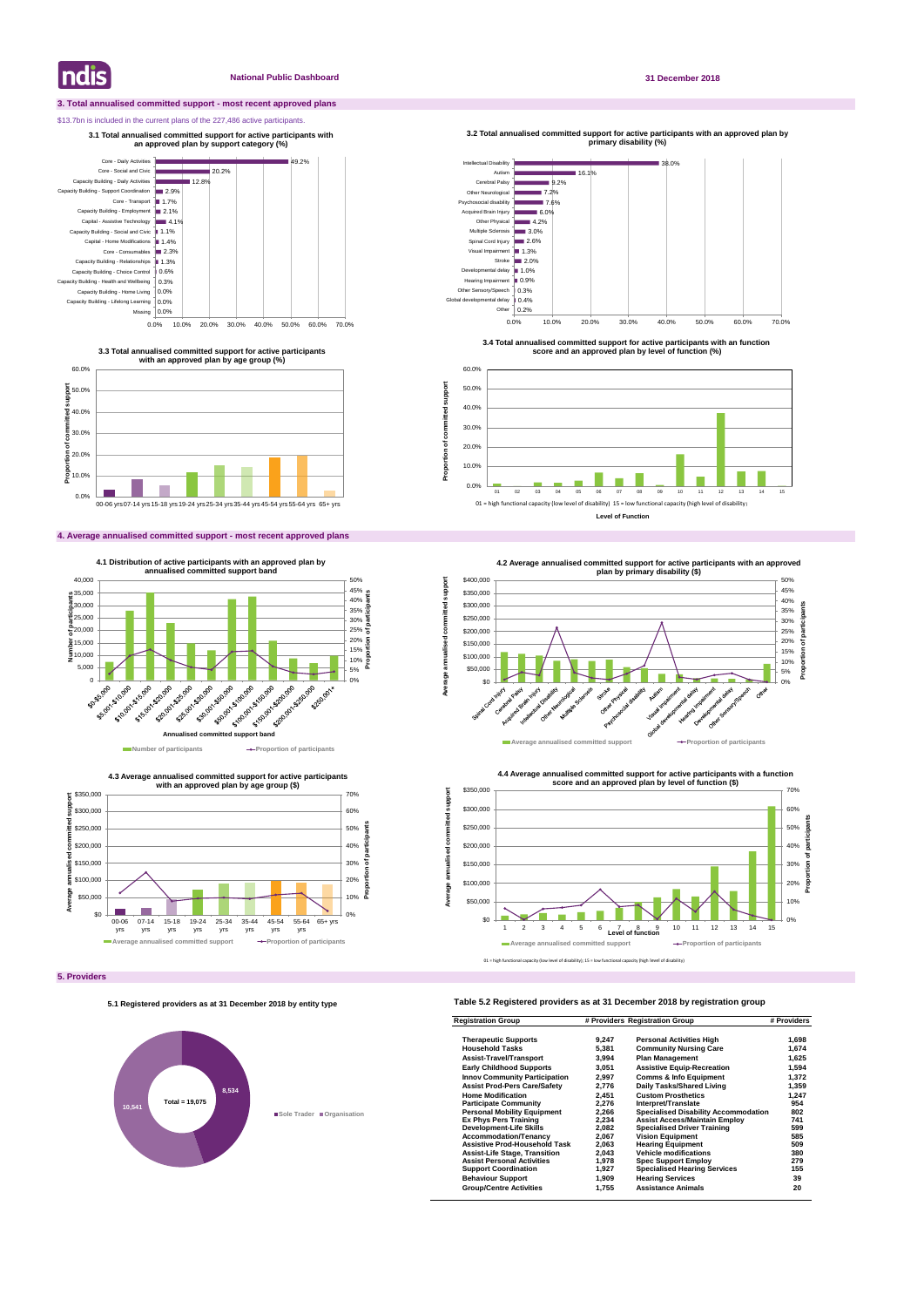# **3. Total annualised committed support - most recent approved plans**

# \$13.7bn is included in the current plans of the 227,486 active participants.

# **4. Average annualised committed support - most recent approved plans**

# **Table 5.2 Registered providers as at 31 December 2018 by registration group**

| <b>Registration Group</b>            | # Providers Registration Group |                                             | # Providers |
|--------------------------------------|--------------------------------|---------------------------------------------|-------------|
| <b>Therapeutic Supports</b>          | 9,247                          | <b>Personal Activities High</b>             | 1,698       |
| <b>Household Tasks</b>               | 5,381                          | <b>Community Nursing Care</b>               | 1,674       |
| <b>Assist-Travel/Transport</b>       | 3,994                          | <b>Plan Management</b>                      | 1,625       |
| <b>Early Childhood Supports</b>      | 3,051                          | <b>Assistive Equip-Recreation</b>           | 1.594       |
| <b>Innov Community Participation</b> | 2,997                          | <b>Comms &amp; Info Equipment</b>           | 1,372       |
| <b>Assist Prod-Pers Care/Safety</b>  | 2,776                          | Daily Tasks/Shared Living                   | 1,359       |
| <b>Home Modification</b>             | 2.451                          | <b>Custom Prosthetics</b>                   | 1,247       |
| <b>Participate Community</b>         | 2.276                          | Interpret/Translate                         | 954         |
| <b>Personal Mobility Equipment</b>   | 2.266                          | <b>Specialised Disability Accommodation</b> | 802         |
| <b>Ex Phys Pers Training</b>         | 2,234                          | <b>Assist Access/Maintain Employ</b>        | 741         |
| Development-Life Skills              | 2,082                          | <b>Specialised Driver Training</b>          | 599         |
| <b>Accommodation/Tenancy</b>         | 2,067                          | <b>Vision Equipment</b>                     | 585         |
| <b>Assistive Prod-Household Task</b> | 2.063                          | <b>Hearing Equipment</b>                    | 509         |
| <b>Assist-Life Stage, Transition</b> | 2,043                          | <b>Vehicle modifications</b>                | 380         |
| <b>Assist Personal Activities</b>    | 1,978                          | <b>Spec Support Employ</b>                  | 279         |
| <b>Support Coordination</b>          | 1,927                          | <b>Specialised Hearing Services</b>         | 155         |
| <b>Behaviour Support</b>             | 1.909                          | <b>Hearing Services</b>                     | 39          |
| <b>Group/Centre Activities</b>       | 1.755                          | <b>Assistance Animals</b>                   | 20          |

**Indis** 

# **National Public Dashboard 31 December 2018**







**3.3 Total annualised committed support for active participants with an approved plan by age group (%)**

**3.1 Total annualised committed support for active participants with an approved plan by support category (%)** 

**3.2 Total annualised committed support for active participants with an approved plan by primary disability (%)** 



**3.4 Total annualised committed support for active participants with an function score and an approved plan by level of function (%)**

**Proportion of committed support**

Proportion of committed

support



## **5.1 Registered providers as at 31 December 2018 by entity type**

# **8,534 10,541 Sole Trader Organisation Total = 19,075**

01 = high functional capacity (low level of disability); 15 = low functional capacity (high level of disability)



**Level of Function**



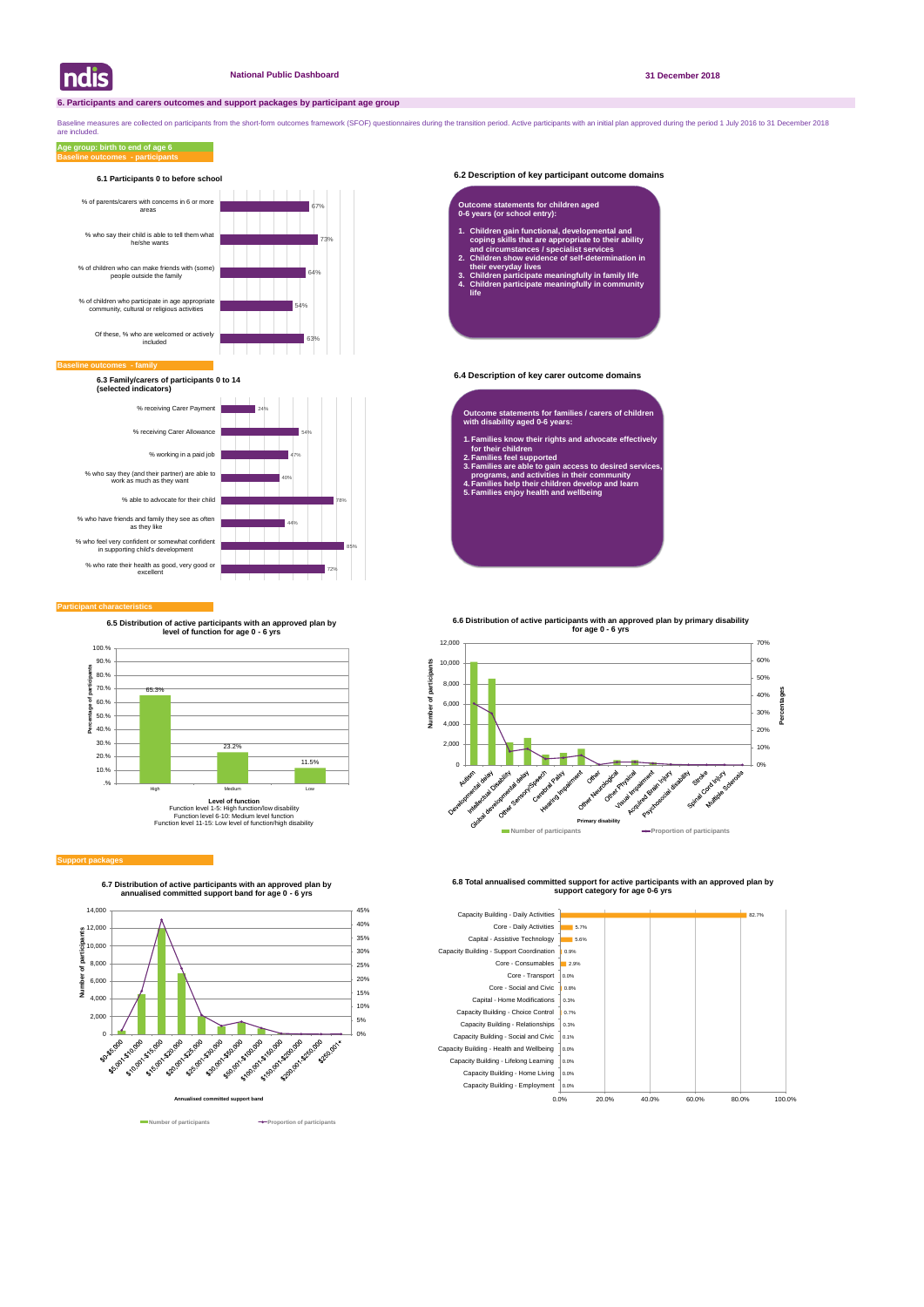# **6.2 Description of key participant outcome domains**

# **6.4 Description of key carer outcome domains**

#### **Participant characteristics**

Baseline measures are collected on participants from the short-form outcomes framework (SFOF) questionnaires during the transition period. Active participants with an initial plan approved during the period 1 July 2016 to are included.

## **Baseline outcomes - participants Age group: birth to end of age 6**



**6.7 Distribution of active participants with an approved plan by annualised committed support band for age 0 - 6 yrs**





**6.8 Total annualised committed support for active participants with an approved plan by support category for age 0-6 yrs** 



#### **Baseline of**



# **6.1 Participants 0 to before school**

**6.3 Family/carers of participants 0 to 14 (selected indicators)**

- **Outcome statements for families / carers of children with disability aged 0-6 years:**
- **1. Families know their rights and advocate effectively for their children**
- **2. Families feel supported**
- **3. Families are able to gain access to desired services, programs, and activities in their community**
- **4. Families help their children develop and learn 5. Families enjoy health and wellbeing**

## **Outcome statements for children aged 0-6 years (or school entry):**

- **1. Children gain functional, developmental and coping skills that are appropriate to their ability and circumstances / specialist services**
- **2. Children show evidence of self-determination in their everyday lives**
- **3. Children participate meaningfully in family life 4. Children participate meaningfully in community life**



#### **Support package**

**6.5 Distribution of active participants with an approved plan by level of function for age 0 - 6 yrs**



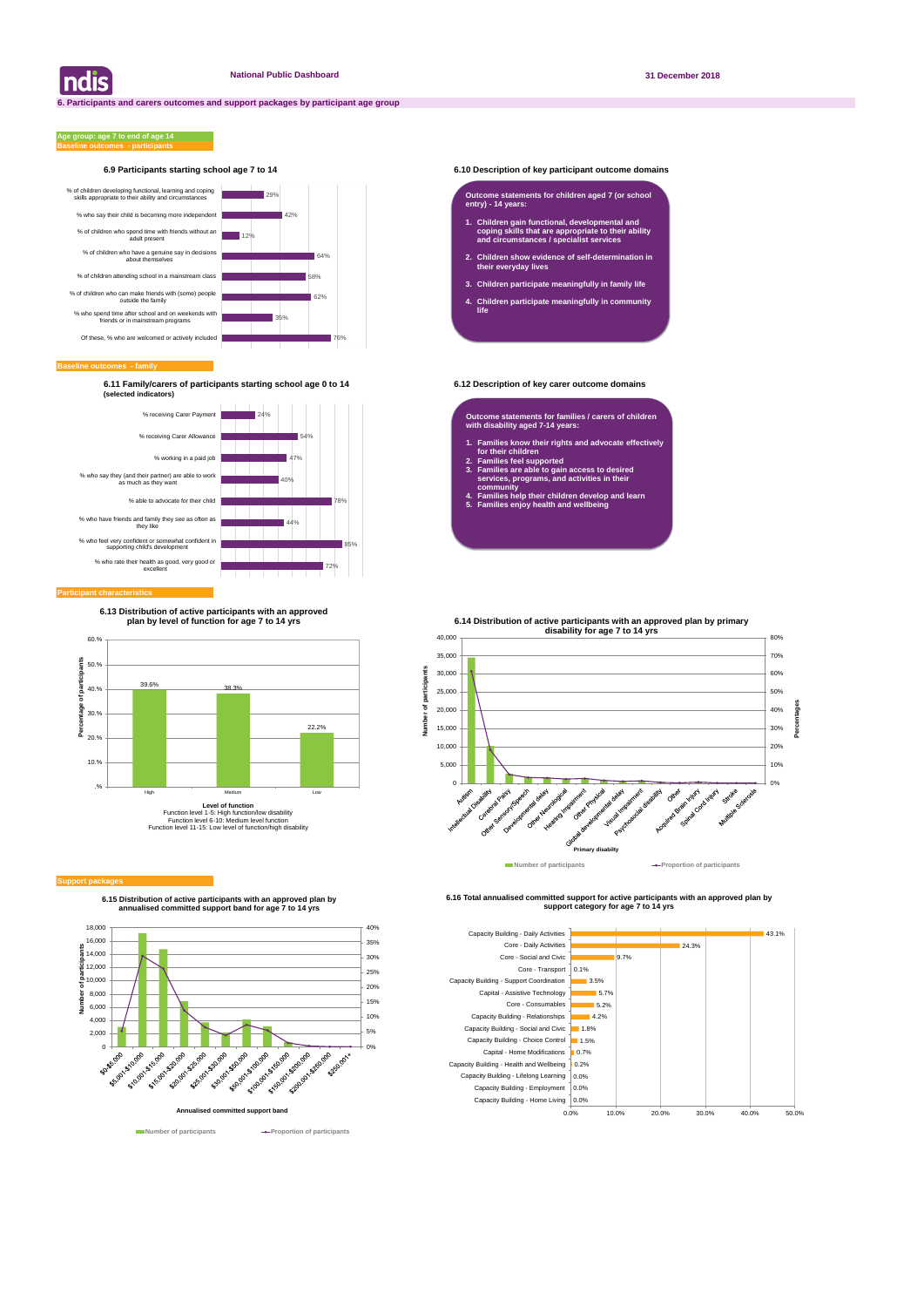# **6.9 Participants starting school age 7 to 14 6.10 Description of key participant outcome domains**

**Baseline outcomes - family**

## **Baseline outcomes - participants Age group: age 7 to end of age 14**

**6.11 Family/carers of participants starting school age 0 to 14 6.12 Description of key carer outcome domains (selected indicators)**

| ndis



**6.15 Distribution of active participants with an approved plan by annualised committed support band for age 7 to 14 yrs**



**Number of participants Proportion of participants** 

## **6.16 Total annualised committed support for active participants with an approved plan by support category for age 7 to 14 yrs**





## **Participant characteristic**

#### **Outcome statements for children aged 7 (or school entry) - 14 years:**

- **1. Children gain functional, developmental and coping skills that are appropriate to their ability and circumstances / specialist services**
- **2. Children show evidence of self-determination in their everyday lives**
- **3. Children participate meaningfully in family life**
- **4. Children participate meaningfully in community life**

**Outcome statements for families / carers of children with disability aged 7-14 years:**

- **1. Families know their rights and advocate effectively for their children**
- **2. Families feel supported**

ť į

 $\overline{5}$ 

৳

- **3. Families are able to gain access to desired services, programs, and activities in their community**
- **4. Families help their children develop and learn**
- **5. Families enjoy health and wellbeing**



#### **Support packa**

**6.13 Distribution of active participants with an approved plan by level of function for age 7 to 14 yrs**

**6.14 Distribution of active participants with an approved plan by primary** 

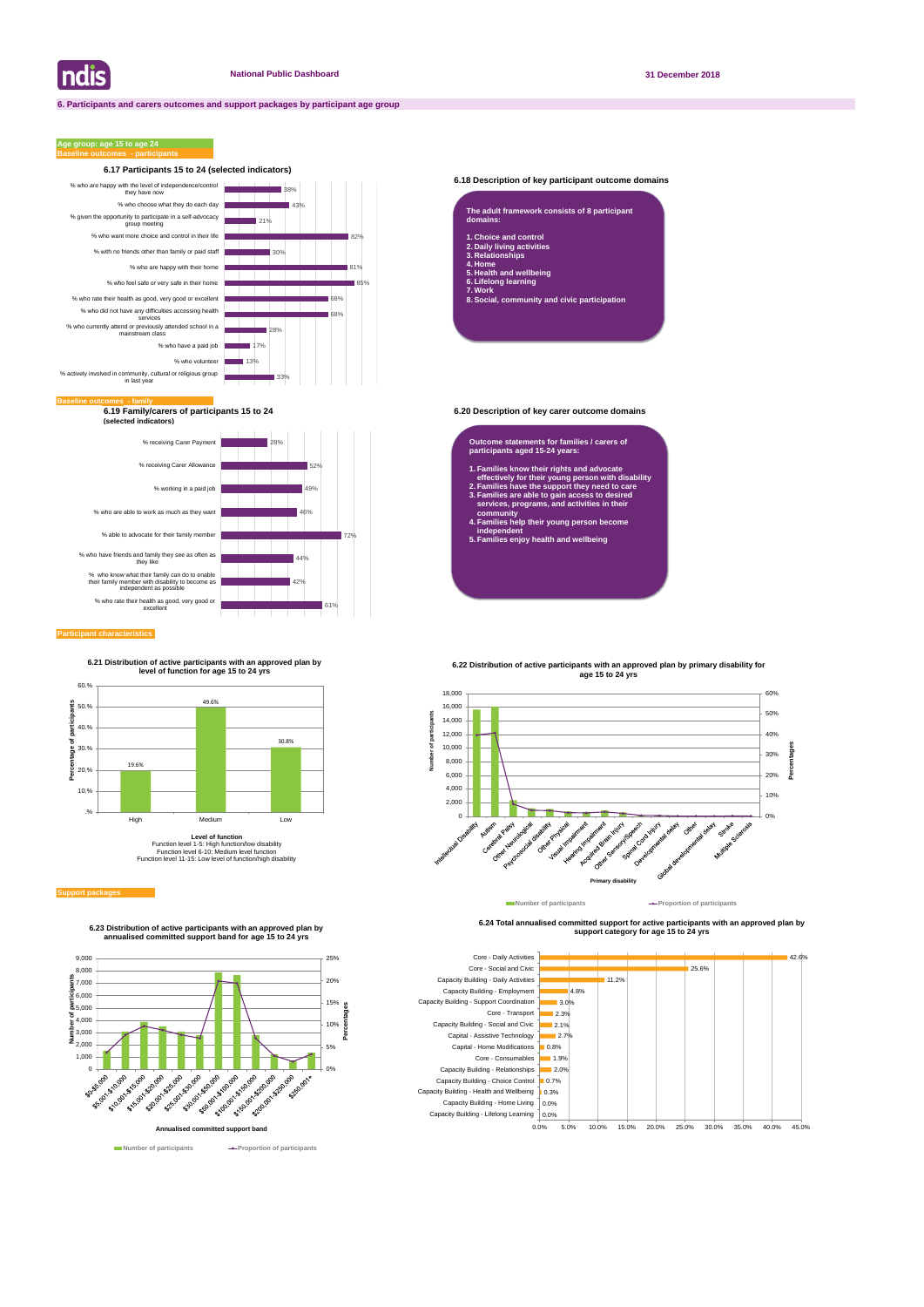# **6.18 Description of key participant outcome domains**

**6.19 Family/carers of participants 15 to 24 6.20 Description of key carer outcome domains (selected indicators)**

## **Participant characteristics**

# **Age group: age 15 to age 24**



**6.24 Total annualised committed support for active participants with an approved plan by support category for age 15 to 24 yrs** 





| The adult framework consists of 8 participant<br>domains: |
|-----------------------------------------------------------|
| 1. Choice and control                                     |
| 2. Daily living activities                                |
| 3. Relationships                                          |
| 4. Home                                                   |
| 5. Health and wellbeing                                   |
|                                                           |

**6. Lifelong learning 7. Work**

**8. Social, community and civic participation**

#### **Outcome statements for families / carers of participants aged 15-24 years:**

- **1. Families know their rights and advocate effectively for their young person with disability**
- **2. Families have the support they need to care 3. Families are able to gain access to desired services, programs, and activities in their**
- **community 4. Families help their young person become independent**
- **5. Families enjoy health and wellbeing**





**6.23 Distribution of active participants with an approved plan by annualised committed support band for age 15 to 24 yrs**

**6.21 Distribution of active participants with an approved plan by level of function for age 15 to 24 yrs**



**Level of function** Function level 1-5: High function/low disability Function level 6-10: Medium level function Function level 11-15: Low level of function/high disability

#### **Support packad**





**Number of participants Proportion of participants** 

# **6.22 Distribution of active participants with an approved plan by primary disability for age 15 to 24 yrs**